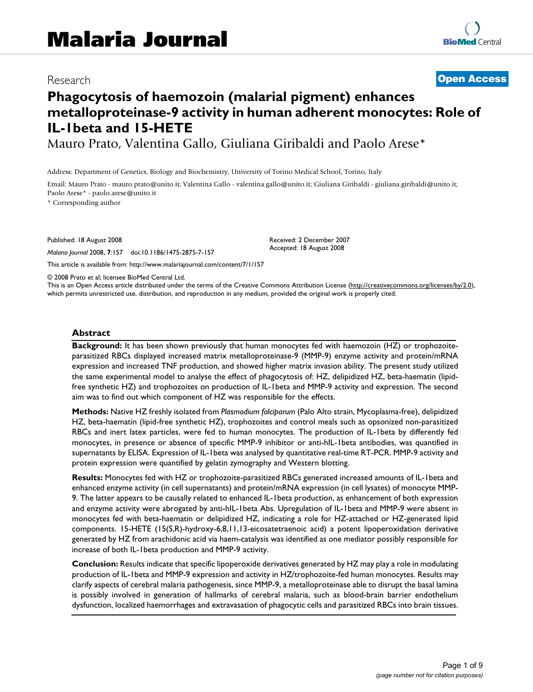# Research **Open Access**

# **Phagocytosis of haemozoin (malarial pigment) enhances metalloproteinase-9 activity in human adherent monocytes: Role of IL-1beta and 15-HETE**

Mauro Prato, Valentina Gallo, Giuliana Giribaldi and Paolo Arese\*

Address: Department of Genetics, Biology and Biochemistry, University of Torino Medical School, Torino, Italy

Email: Mauro Prato - mauro.prato@unito.it; Valentina Gallo - valentina.gallo@unito.it; Giuliana Giribaldi - giuliana.giribaldi@unito.it; Paolo Arese\* - paolo.arese@unito.it

\* Corresponding author

Published: 18 August 2008

*Malaria Journal* 2008, **7**:157 doi:10.1186/1475-2875-7-157

This article is available from: http://www.malariajournal.com/content/7/1/157

Received: 2 December 2007 Accepted: 18 August 2008

© 2008 Prato et al; licensee BioMed Central Ltd.

This is an Open Access article distributed under the terms of the Creative Commons Attribution License (http://creativecommons.org/licenses/by/2.0), which permits unrestricted use, distribution, and reproduction in any medium, provided the original work is properly cited.

#### **Abstract**

**Background:** It has been shown previously that human monocytes fed with haemozoin (HZ) or trophozoiteparasitized RBCs displayed increased matrix metalloproteinase-9 (MMP-9) enzyme activity and protein/mRNA expression and increased TNF production, and showed higher matrix invasion ability. The present study utilized the same experimental model to analyse the effect of phagocytosis of: HZ, delipidized HZ, beta-haematin (lipidfree synthetic HZ) and trophozoites on production of IL-1beta and MMP-9 activity and expression. The second aim was to find out which component of HZ was responsible for the effects.

**Methods:** Native HZ freshly isolated from *Plasmodium falciparum* (Palo Alto strain, Mycoplasma-free), delipidized HZ, beta-haematin (lipid-free synthetic HZ), trophozoites and control meals such as opsonized non-parasitized RBCs and inert latex particles, were fed to human monocytes. The production of IL-1beta by differently fed monocytes, in presence or absence of specific MMP-9 inhibitor or anti-hIL-1beta antibodies, was quantified in supernatants by ELISA. Expression of IL-1beta was analysed by quantitative real-time RT-PCR. MMP-9 activity and protein expression were quantified by gelatin zymography and Western blotting.

**Results:** Monocytes fed with HZ or trophozoite-parasitized RBCs generated increased amounts of IL-1beta and enhanced enzyme activity (in cell supernatants) and protein/mRNA expression (in cell lysates) of monocyte MMP-9. The latter appears to be causally related to enhanced IL-1beta production, as enhancement of both expression and enzyme activity were abrogated by anti-hIL-1beta Abs. Upregulation of IL-1beta and MMP-9 were absent in monocytes fed with beta-haematin or delipidized HZ, indicating a role for HZ-attached or HZ-generated lipid components. 15-HETE (15(S,R)-hydroxy-6,8,11,13-eicosatetraenoic acid) a potent lipoperoxidation derivative generated by HZ from arachidonic acid via haem-catalysis was identified as one mediator possibly responsible for increase of both IL-1beta production and MMP-9 activity.

**Conclusion:** Results indicate that specific lipoperoxide derivatives generated by HZ may play a role in modulating production of IL-1beta and MMP-9 expression and activity in HZ/trophozoite-fed human monocytes. Results may clarify aspects of cerebral malaria pathogenesis, since MMP-9, a metalloproteinase able to disrupt the basal lamina is possibly involved in generation of hallmarks of cerebral malaria, such as blood-brain barrier endothelium dysfunction, localized haemorrhages and extravasation of phagocytic cells and parasitized RBCs into brain tissues.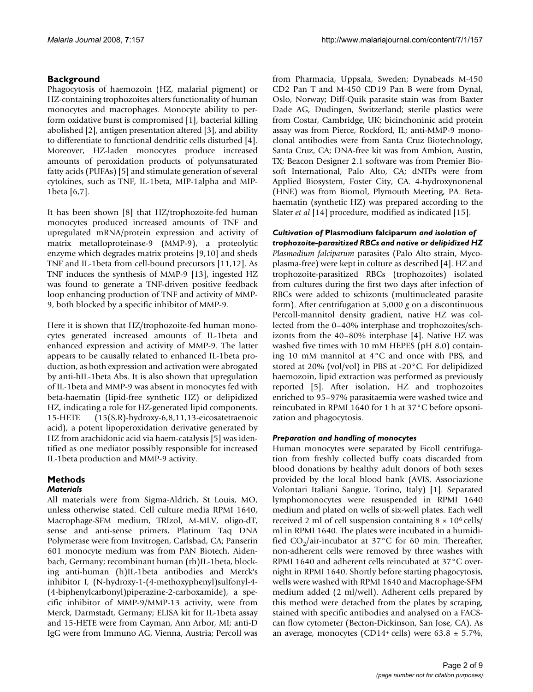## **Background**

Phagocytosis of haemozoin (HZ, malarial pigment) or HZ-containing trophozoites alters functionality of human monocytes and macrophages. Monocyte ability to perform oxidative burst is compromised [1], bacterial killing abolished [2], antigen presentation altered [3], and ability to differentiate to functional dendritic cells disturbed [4]. Moreover, HZ-laden monocytes produce increased amounts of peroxidation products of polyunsaturated fatty acids (PUFAs) [5] and stimulate generation of several cytokines, such as TNF, IL-1beta, MIP-1alpha and MIP-1beta [6,7].

It has been shown [8] that HZ/trophozoite-fed human monocytes produced increased amounts of TNF and upregulated mRNA/protein expression and activity of matrix metalloproteinase-9 (MMP-9), a proteolytic enzyme which degrades matrix proteins [9,10] and sheds TNF and IL-1beta from cell-bound precursors [11,12]. As TNF induces the synthesis of MMP-9 [13], ingested HZ was found to generate a TNF-driven positive feedback loop enhancing production of TNF and activity of MMP-9, both blocked by a specific inhibitor of MMP-9.

Here it is shown that HZ/trophozoite-fed human monocytes generated increased amounts of IL-1beta and enhanced expression and activity of MMP-9. The latter appears to be causally related to enhanced IL-1beta production, as both expression and activation were abrogated by anti-hIL-1beta Abs. It is also shown that upregulation of IL-1beta and MMP-9 was absent in monocytes fed with beta-haematin (lipid-free synthetic HZ) or delipidized HZ, indicating a role for HZ-generated lipid components. 15-HETE (15(S,R)-hydroxy-6,8,11,13-eicosatetraenoic acid), a potent lipoperoxidation derivative generated by HZ from arachidonic acid via haem-catalysis [5] was identified as one mediator possibly responsible for increased IL-1beta production and MMP-9 activity.

# **Methods**

### *Materials*

All materials were from Sigma-Aldrich, St Louis, MO, unless otherwise stated. Cell culture media RPMI 1640, Macrophage-SFM medium, TRIzol, M-MLV, oligo-dT, sense and anti-sense primers, Platinum Taq DNA Polymerase were from Invitrogen, Carlsbad, CA; Panserin 601 monocyte medium was from PAN Biotech, Aidenbach, Germany; recombinant human (rh)IL-1beta, blocking anti-human (h)IL-1beta antibodies and Merck's inhibitor I, (N-hydroxy-1-(4-methoxyphenyl)sulfonyl-4- (4-biphenylcarbonyl)piperazine-2-carboxamide), a specific inhibitor of MMP-9/MMP-13 activity, were from Merck, Darmstadt, Germany; ELISA kit for IL-1beta assay and 15-HETE were from Cayman, Ann Arbor, MI; anti-D IgG were from Immuno AG, Vienna, Austria; Percoll was

from Pharmacia, Uppsala, Sweden; Dynabeads M-450 CD2 Pan T and M-450 CD19 Pan B were from Dynal, Oslo, Norway; Diff-Quik parasite stain was from Baxter Dade AG, Dudingen, Switzerland; sterile plastics were from Costar, Cambridge, UK; bicinchoninic acid protein assay was from Pierce, Rockford, IL; anti-MMP-9 monoclonal antibodies were from Santa Cruz Biotechnology, Santa Cruz, CA; DNA-free kit was from Ambion, Austin, TX; Beacon Designer 2.1 software was from Premier Biosoft International, Palo Alto, CA; dNTPs were from Applied Biosystem, Foster City, CA. 4-hydroxynonenal (HNE) was from Biomol, Plymouth Meeting, PA. Betahaematin (synthetic HZ) was prepared according to the Slater *et al* [14] procedure, modified as indicated [15].

*Cultivation of* **Plasmodium falciparum** *and isolation of trophozoite-parasitized RBCs and native or delipidized HZ Plasmodium falciparum* parasites (Palo Alto strain, Mycoplasma-free) were kept in culture as described [4]. HZ and trophozoite-parasitized RBCs (trophozoites) isolated from cultures during the first two days after infection of RBCs were added to schizonts (multinucleated parasite form). After centrifugation at 5,000 *g* on a discontinuous Percoll-mannitol density gradient, native HZ was collected from the 0–40% interphase and trophozoites/schizonts from the 40–80% interphase [4]. Native HZ was washed five times with 10 mM HEPES (pH 8.0) containing 10 mM mannitol at 4°C and once with PBS, and stored at 20% (vol/vol) in PBS at -20°C. For delipidized haemozoin, lipid extraction was performed as previously reported [5]. After isolation, HZ and trophozoites enriched to 95–97% parasitaemia were washed twice and reincubated in RPMI 1640 for 1 h at 37°C before opsonization and phagocytosis.

### *Preparation and handling of monocytes*

Human monocytes were separated by Ficoll centrifugation from freshly collected buffy coats discarded from blood donations by healthy adult donors of both sexes provided by the local blood bank (AVIS, Associazione Volontari Italiani Sangue, Torino, Italy) [1]. Separated lymphomonocytes were resuspended in RPMI 1640 medium and plated on wells of six-well plates. Each well received 2 ml of cell suspension containing  $8 \times 10^6$  cells/ ml in RPMI 1640. The plates were incubated in a humidified  $CO_2$ /air-incubator at 37°C for 60 min. Thereafter, non-adherent cells were removed by three washes with RPMI 1640 and adherent cells reincubated at 37°C overnight in RPMI 1640. Shortly before starting phagocytosis, wells were washed with RPMI 1640 and Macrophage-SFM medium added (2 ml/well). Adherent cells prepared by this method were detached from the plates by scraping, stained with specific antibodies and analysed on a FACScan flow cytometer (Becton-Dickinson, San Jose, CA). As an average, monocytes (CD14+ cells) were  $63.8 \pm 5.7\%$ ,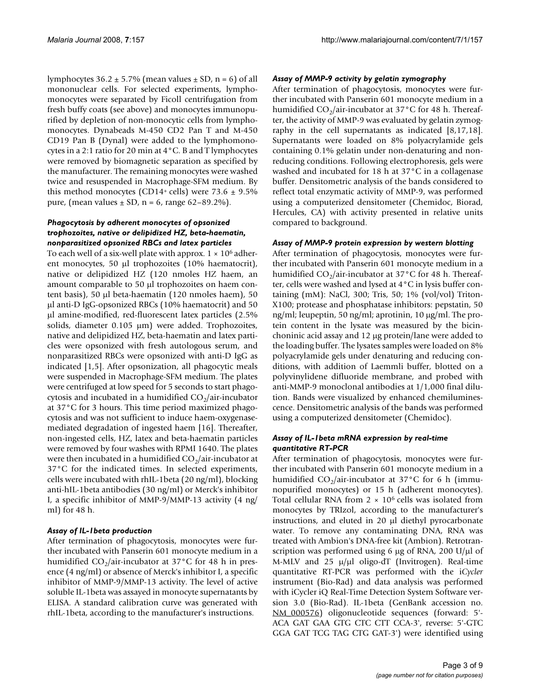lymphocytes  $36.2 \pm 5.7\%$  (mean values  $\pm$  SD, n = 6) of all mononuclear cells. For selected experiments, lymphomonocytes were separated by Ficoll centrifugation from fresh buffy coats (see above) and monocytes immunopurified by depletion of non-monocytic cells from lymphomonocytes. Dynabeads M-450 CD2 Pan T and M-450 CD19 Pan B (Dynal) were added to the lymphomonocytes in a 2:1 ratio for 20 min at 4°C. B and T lymphocytes were removed by biomagnetic separation as specified by the manufacturer. The remaining monocytes were washed twice and resuspended in Macrophage-SFM medium. By this method monocytes (CD14+ cells) were  $73.6 \pm 9.5\%$ pure, (mean values  $\pm$  SD, n = 6, range 62–89.2%).

#### *Phagocytosis by adherent monocytes of opsonized trophozoites, native or delipidized HZ, beta-haematin, nonparasitized opsonized RBCs and latex particles*

To each well of a six-well plate with approx.  $1 \times 10^6$  adherent monocytes, 50  $\mu$ l trophozoites (10% haematocrit), native or delipidized HZ (120 nmoles HZ haem, an amount comparable to 50 µl trophozoites on haem content basis), 50  $\mu$ l beta-haematin (120 nmoles haem), 50 µl anti-D IgG-opsonized RBCs (10% haematocrit) and 50  $\mu$ l amine-modified, red-fluorescent latex particles (2.5%) solids, diameter  $0.105 \mu m$ ) were added. Trophozoites, native and delipidized HZ, beta-haematin and latex particles were opsonized with fresh autologous serum, and nonparasitized RBCs were opsonized with anti-D IgG as indicated [1,5]. After opsonization, all phagocytic meals were suspended in Macrophage-SFM medium. The plates were centrifuged at low speed for 5 seconds to start phagocytosis and incubated in a humidified  $CO<sub>2</sub>/air-incubator$ at 37°C for 3 hours. This time period maximized phagocytosis and was not sufficient to induce haem-oxygenasemediated degradation of ingested haem [16]. Thereafter, non-ingested cells, HZ, latex and beta-haematin particles were removed by four washes with RPMI 1640. The plates were then incubated in a humidified  $CO<sub>2</sub>/air-incubator$  at 37°C for the indicated times. In selected experiments, cells were incubated with rhIL-1beta (20 ng/ml), blocking anti-hIL-1beta antibodies (30 ng/ml) or Merck's inhibitor I, a specific inhibitor of MMP-9/MMP-13 activity (4 ng/ ml) for 48 h.

### *Assay of IL-1beta production*

After termination of phagocytosis, monocytes were further incubated with Panserin 601 monocyte medium in a humidified  $CO_2/$ air-incubator at 37°C for 48 h in presence (4 ng/ml) or absence of Merck's inhibitor I, a specific inhibitor of MMP-9/MMP-13 activity. The level of active soluble IL-1beta was assayed in monocyte supernatants by ELISA. A standard calibration curve was generated with rhIL-1beta, according to the manufacturer's instructions.

#### *Assay of MMP-9 activity by gelatin zymography*

After termination of phagocytosis, monocytes were further incubated with Panserin 601 monocyte medium in a humidified  $CO_2$ /air-incubator at 37°C for 48 h. Thereafter, the activity of MMP-9 was evaluated by gelatin zymography in the cell supernatants as indicated [8,17,18]. Supernatants were loaded on 8% polyacrylamide gels containing 0.1% gelatin under non-denaturing and nonreducing conditions. Following electrophoresis, gels were washed and incubated for 18 h at 37°C in a collagenase buffer. Densitometric analysis of the bands considered to reflect total enzymatic activity of MMP-9, was performed using a computerized densitometer (Chemidoc, Biorad, Hercules, CA) with activity presented in relative units compared to background.

#### *Assay of MMP-9 protein expression by western blotting*

After termination of phagocytosis, monocytes were further incubated with Panserin 601 monocyte medium in a humidified  $CO_2$ /air-incubator at 37°C for 48 h. Thereafter, cells were washed and lysed at 4°C in lysis buffer containing (mM): NaCl, 300; Tris, 50; 1% (vol/vol) Triton-X100; protease and phosphatase inhibitors: pepstatin, 50 ng/ml; leupeptin, 50 ng/ml; aprotinin, 10  $\mu$ g/ml. The protein content in the lysate was measured by the bicinchoninic acid assay and 12 µg protein/lane were added to the loading buffer. The lysates samples were loaded on 8% polyacrylamide gels under denaturing and reducing conditions, with addition of Laemmli buffer, blotted on a polyvinylidene difluoride membrane, and probed with anti-MMP-9 monoclonal antibodies at 1/1,000 final dilution. Bands were visualized by enhanced chemiluminescence. Densitometric analysis of the bands was performed using a computerized densitometer (Chemidoc).

#### *Assay of IL-1beta mRNA expression by real-time quantitative RT-PCR*

After termination of phagocytosis, monocytes were further incubated with Panserin 601 monocyte medium in a humidified  $CO_2/$ air-incubator at 37°C for 6 h (immunopurified monocytes) or 15 h (adherent monocytes). Total cellular RNA from  $2 \times 10^6$  cells was isolated from monocytes by TRIzol, according to the manufacturer's instructions, and eluted in 20 µl diethyl pyrocarbonate water. To remove any contaminating DNA, RNA was treated with Ambion's DNA-free kit (Ambion). Retrotranscription was performed using 6  $\mu$ g of RNA, 200 U/ $\mu$ l of M-MLV and 25  $\mu/\mu$ l oligo-dT (Invitrogen). Real-time quantitative RT-PCR was performed with the i*Cycler* instrument (Bio-Rad) and data analysis was performed with iCycler iQ Real-Time Detection System Software version 3.0 (Bio-Rad). IL-1beta (GenBank accession no. NM\_000576) oligonucleotide sequences (forward: 5'- ACA GAT GAA GTG CTC CTT CCA-3', reverse: 5'-GTC GGA GAT TCG TAG CTG GAT-3') were identified using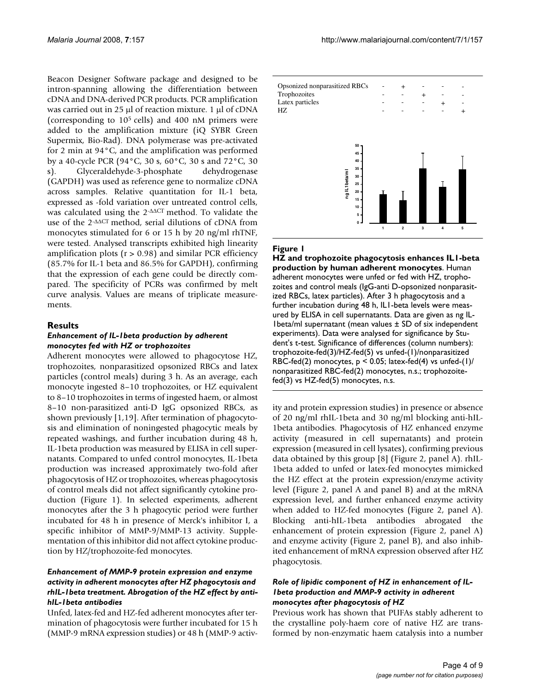Beacon Designer Software package and designed to be intron-spanning allowing the differentiation between cDNA and DNA-derived PCR products. PCR amplification was carried out in 25  $\mu$ l of reaction mixture. 1  $\mu$ l of cDNA (corresponding to 105 cells) and 400 nM primers were added to the amplification mixture (iQ SYBR Green Supermix, Bio-Rad). DNA polymerase was pre-activated for 2 min at 94°C, and the amplification was performed by a 40-cycle PCR (94°C, 30 s, 60°C, 30 s and 72°C, 30 s). Glyceraldehyde-3-phosphate dehydrogenase (GAPDH) was used as reference gene to normalize cDNA across samples. Relative quantitation for IL-1 beta, expressed as -fold variation over untreated control cells, was calculated using the  $2$ - $\triangle$  $\triangle$ CT method. To validate the use of the  $2$ - $\triangle \triangle C$ T method, serial dilutions of cDNA from monocytes stimulated for 6 or 15 h by 20 ng/ml rhTNF, were tested. Analysed transcripts exhibited high linearity amplification plots ( $r > 0.98$ ) and similar PCR efficiency (85.7% for IL-1 beta and 86.5% for GAPDH), confirming that the expression of each gene could be directly compared. The specificity of PCRs was confirmed by melt curve analysis. Values are means of triplicate measurements.

#### **Results**

#### *Enhancement of IL-1beta production by adherent monocytes fed with HZ or trophozoites*

Adherent monocytes were allowed to phagocytose HZ, trophozoites, nonparasitized opsonized RBCs and latex particles (control meals) during 3 h. As an average, each monocyte ingested 8–10 trophozoites, or HZ equivalent to 8–10 trophozoites in terms of ingested haem, or almost 8–10 non-parasitized anti-D IgG opsonized RBCs, as shown previously [1,19]. After termination of phagocytosis and elimination of noningested phagocytic meals by repeated washings, and further incubation during 48 h, IL-1beta production was measured by ELISA in cell supernatants. Compared to unfed control monocytes, IL-1beta production was increased approximately two-fold after phagocytosis of HZ or trophozoites, whereas phagocytosis of control meals did not affect significantly cytokine production (Figure 1). In selected experiments, adherent monocytes after the 3 h phagocytic period were further incubated for 48 h in presence of Merck's inhibitor I, a specific inhibitor of MMP-9/MMP-13 activity. Supplementation of this inhibitor did not affect cytokine production by HZ/trophozoite-fed monocytes.

#### *Enhancement of MMP-9 protein expression and enzyme activity in adherent monocytes after HZ phagocytosis and rhIL-1beta treatment. Abrogation of the HZ effect by antihIL-1beta antibodies*

Unfed, latex-fed and HZ-fed adherent monocytes after termination of phagocytosis were further incubated for 15 h (MMP-9 mRNA expression studies) or 48 h (MMP-9 activ-



#### **Figure I**

**HZ and trophozoite phagocytosis enhances IL1-beta production by human adherent monocytes**. Human adherent monocytes were unfed or fed with HZ, trophozoites and control meals (IgG-anti D-opsonized nonparasitized RBCs, latex particles). After 3 h phagocytosis and a further incubation during 48 h, IL1-beta levels were measured by ELISA in cell supernatants. Data are given as ng IL-1 beta/ml supernatant (mean values  $\pm$  SD of six independent experiments). Data were analysed for significance by Student's t-test. Significance of differences (column numbers): trophozoite-fed(3)/HZ-fed(5) vs unfed-(1)/nonparasitized RBC-fed(2) monocytes,  $p < 0.05$ ; latex-fed(4) vs unfed-(1)/ nonparasitized RBC-fed(2) monocytes, n.s.; trophozoitefed(3) vs HZ-fed(5) monocytes, n.s.

ity and protein expression studies) in presence or absence of 20 ng/ml rhIL-1beta and 30 ng/ml blocking anti-hIL-1beta antibodies. Phagocytosis of HZ enhanced enzyme activity (measured in cell supernatants) and protein expression (measured in cell lysates), confirming previous data obtained by this group [8] (Figure 2, panel A). rhIL-1beta added to unfed or latex-fed monocytes mimicked the HZ effect at the protein expression/enzyme activity level (Figure 2, panel A and panel B) and at the mRNA expression level, and further enhanced enzyme activity when added to HZ-fed monocytes (Figure 2, panel A). Blocking anti-hIL-1beta antibodies abrogated the enhancement of protein expression (Figure 2, panel A) and enzyme activity (Figure 2, panel B), and also inhibited enhancement of mRNA expression observed after HZ phagocytosis.

#### *Role of lipidic component of HZ in enhancement of IL-1beta production and MMP-9 activity in adherent monocytes after phagocytosis of HZ*

Previous work has shown that PUFAs stably adherent to the crystalline poly-haem core of native HZ are transformed by non-enzymatic haem catalysis into a number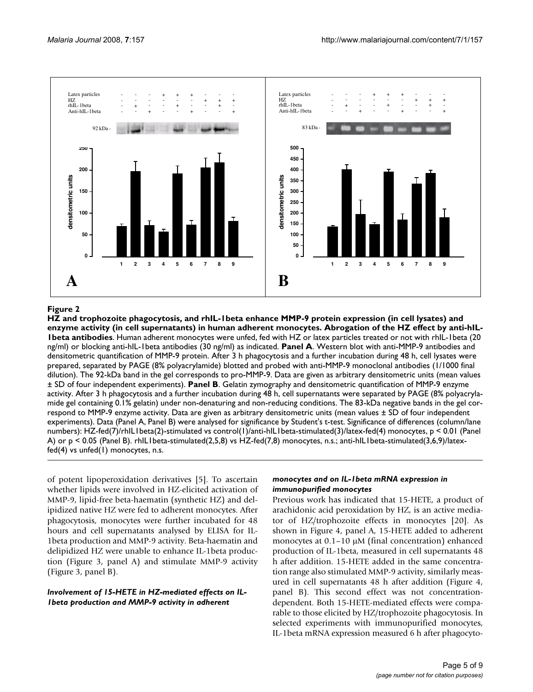

HZ and trophozoite phagocytosis, and rhIL-1beta enhance MMP-9 protein expression (in cell lysates) and enzyme activity (in cell supernatants) in human adherent monocytes **Figure 2 HZ and trophozoite phagocytosis, and rhIL-1beta enhance MMP-9 protein expression (in cell lysates) and enzyme activity (in cell supernatants) in human adherent monocytes. Abrogation of the HZ effect by anti-hIL-1beta antibodies**. Human adherent monocytes were unfed, fed with HZ or latex particles treated or not with rhIL-1beta (20 ng/ml) or blocking anti-hIL-1beta antibodies (30 ng/ml) as indicated. **Panel A**. Western blot with anti-MMP-9 antibodies and densitometric quantification of MMP-9 protein. After 3 h phagocytosis and a further incubation during 48 h, cell lysates were prepared, separated by PAGE (8% polyacrylamide) blotted and probed with anti-MMP-9 monoclonal antibodies (1/1000 final dilution). The 92-kDa band in the gel corresponds to pro-MMP-9. Data are given as arbitrary densitometric units (mean values ± SD of four independent experiments). **Panel B**. Gelatin zymography and densitometric quantification of MMP-9 enzyme activity. After 3 h phagocytosis and a further incubation during 48 h, cell supernatants were separated by PAGE (8% polyacrylamide gel containing 0.1% gelatin) under non-denaturing and non-reducing conditions. The 83-kDa negative bands in the gel correspond to MMP-9 enzyme activity. Data are given as arbitrary densitometric units (mean values ± SD of four independent experiments). Data (Panel A, Panel B) were analysed for significance by Student's t-test. Significance of differences (column/lane numbers): HZ-fed(7)/rhIL1beta(2)-stimulated vs control(1)/anti-hIL1beta-stimulated(3)/latex-fed(4) monocytes, p < 0.01 (Panel A) or  $p < 0.05$  (Panel B). rhIL1beta-stimulated(2,5,8) vs HZ-fed(7,8) monocytes, n.s.; anti-hIL1beta-stimulated(3,6,9)/latexfed(4) vs unfed(1) monocytes, n.s.

of potent lipoperoxidation derivatives [5]. To ascertain whether lipids were involved in HZ-elicited activation of MMP-9, lipid-free beta-haematin (synthetic HZ) and delipidized native HZ were fed to adherent monocytes. After phagocytosis, monocytes were further incubated for 48 hours and cell supernatants analysed by ELISA for IL-1beta production and MMP-9 activity. Beta-haematin and delipidized HZ were unable to enhance IL-1beta production (Figure 3, panel A) and stimulate MMP-9 activity (Figure 3, panel B).

#### *Involvement of 15-HETE in HZ-mediated effects on IL-1beta production and MMP-9 activity in adherent*

#### *monocytes and on IL-1beta mRNA expression in immunopurified monocytes*

Previous work has indicated that 15-HETE, a product of arachidonic acid peroxidation by HZ, is an active mediator of HZ/trophozoite effects in monocytes [20]. As shown in Figure 4, panel A, 15-HETE added to adherent monocytes at  $0.1-10 \mu M$  (final concentration) enhanced production of IL-1beta, measured in cell supernatants 48 h after addition. 15-HETE added in the same concentration range also stimulated MMP-9 activity, similarly measured in cell supernatants 48 h after addition (Figure 4, panel B). This second effect was not concentrationdependent. Both 15-HETE-mediated effects were comparable to those elicited by HZ/trophozoite phagocytosis. In selected experiments with immunopurified monocytes, IL-1beta mRNA expression measured 6 h after phagocyto-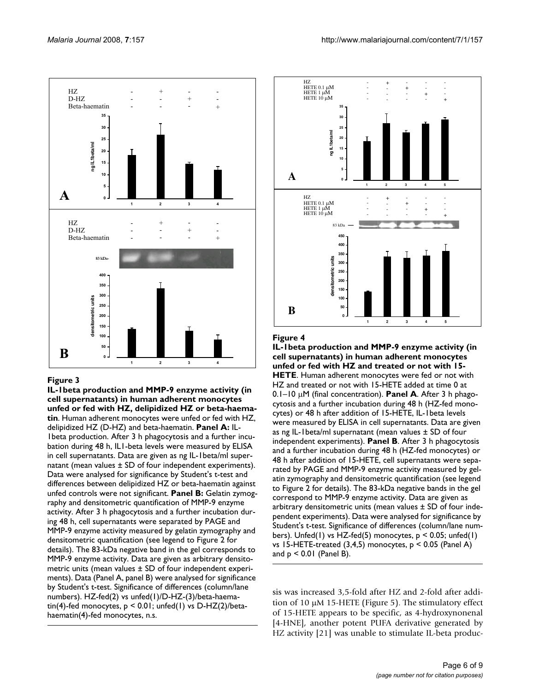

#### Figure 3

**IL-1beta production and MMP-9 enzyme activity (in cell supernatants) in human adherent monocytes unfed or fed with HZ, delipidized HZ or beta-haematin**. Human adherent monocytes were unfed or fed with HZ, delipidized HZ (D-HZ) and beta-haematin. **Panel A:** IL-1beta production. After 3 h phagocytosis and a further incubation during 48 h, IL1-beta levels were measured by ELISA in cell supernatants. Data are given as ng IL-1beta/ml supernatant (mean values ± SD of four independent experiments). Data were analysed for significance by Student's t-test and differences between delipidized HZ or beta-haematin against unfed controls were not significant. **Panel B:** Gelatin zymography and densitometric quantification of MMP-9 enzyme activity. After 3 h phagocytosis and a further incubation during 48 h, cell supernatants were separated by PAGE and MMP-9 enzyme activity measured by gelatin zymography and densitometric quantification (see legend to Figure 2 for details). The 83-kDa negative band in the gel corresponds to MMP-9 enzyme activity. Data are given as arbitrary densitometric units (mean values ± SD of four independent experiments). Data (Panel A, panel B) were analysed for significance by Student's t-test. Significance of differences (column/lane numbers). HZ-fed(2) vs unfed(1)/D-HZ-(3)/beta-haematin(4)-fed monocytes,  $p < 0.01$ ; unfed(1) vs D-HZ(2)/betahaematin(4)-fed monocytes, n.s.



#### Figure 4

**IL-1beta production and MMP-9 enzyme activity (in cell supernatants) in human adherent monocytes unfed or fed with HZ and treated or not with 15- HETE**. Human adherent monocytes were fed or not with HZ and treated or not with 15-HETE added at time 0 at  $0.1-10 \mu$ M (final concentration). **Panel A**. After 3 h phagocytosis and a further incubation during 48 h (HZ-fed monocytes) or 48 h after addition of 15-HETE, IL-1beta levels were measured by ELISA in cell supernatants. Data are given as ng IL-1beta/ml supernatant (mean values ± SD of four independent experiments). **Panel B**. After 3 h phagocytosis and a further incubation during 48 h (HZ-fed monocytes) or 48 h after addition of 15-HETE, cell supernatants were separated by PAGE and MMP-9 enzyme activity measured by gelatin zymography and densitometric quantification (see legend to Figure 2 for details). The 83-kDa negative bands in the gel correspond to MMP-9 enzyme activity. Data are given as arbitrary densitometric units (mean values ± SD of four independent experiments). Data were analysed for significance by Student's t-test. Significance of differences (column/lane numbers). Unfed(1) vs HZ-fed(5) monocytes,  $p < 0.05$ ; unfed(1) vs 15-HETE-treated  $(3,4,5)$  monocytes,  $p < 0.05$  (Panel A) and  $p < 0.01$  (Panel B).

sis was increased 3,5-fold after HZ and 2-fold after addition of 10  $\mu$ M 15-HETE (Figure 5). The stimulatory effect of 15-HETE appears to be specific, as 4-hydroxynonenal [4-HNE], another potent PUFA derivative generated by HZ activity [21] was unable to stimulate IL-beta produc-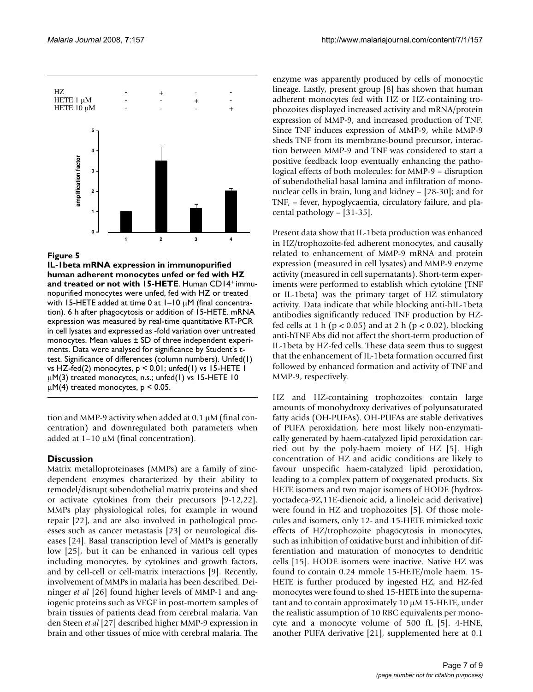

#### Figure 5

**IL-1beta mRNA expression in immunopurified human adherent monocytes unfed or fed with HZ**  and treated or not with 15-HETE. Human CD14<sup>+</sup> immunopurified monocytes were unfed, fed with HZ or treated with 15-HETE added at time 0 at  $1-10 \mu$ M (final concentration). 6 h after phagocytosis or addition of 15-HETE. mRNA expression was measured by real-time quantitative RT-PCR in cell lysates and expressed as -fold variation over untreated monocytes. Mean values ± SD of three independent experiments. Data were analysed for significance by Student's ttest. Significance of differences (column numbers). Unfed(1) vs HZ-fed(2) monocytes, p < 0.01; unfed(1) vs 15-HETE 1  $\mu$ M(3) treated monocytes, n.s.; unfed(1) vs 15-HETE 10  $\mu$ M(4) treated monocytes, p < 0.05.

tion and MMP-9 activity when added at  $0.1 \mu$ M (final concentration) and downregulated both parameters when added at  $1-10 \mu M$  (final concentration).

# **Discussion**

Matrix metalloproteinases (MMPs) are a family of zincdependent enzymes characterized by their ability to remodel/disrupt subendothelial matrix proteins and shed or activate cytokines from their precursors [9-12,22]. MMPs play physiological roles, for example in wound repair [22], and are also involved in pathological processes such as cancer metastasis [23] or neurological diseases [24]. Basal transcription level of MMPs is generally low [25], but it can be enhanced in various cell types including monocytes, by cytokines and growth factors, and by cell-cell or cell-matrix interactions [9]. Recently, involvement of MMPs in malaria has been described. Deininger *et al* [26] found higher levels of MMP-1 and angiogenic proteins such as VEGF in post-mortem samples of brain tissues of patients dead from cerebral malaria. Van den Steen *et al* [27] described higher MMP-9 expression in brain and other tissues of mice with cerebral malaria. The enzyme was apparently produced by cells of monocytic lineage. Lastly, present group [8] has shown that human adherent monocytes fed with HZ or HZ-containing trophozoites displayed increased activity and mRNA/protein expression of MMP-9, and increased production of TNF. Since TNF induces expression of MMP-9, while MMP-9 sheds TNF from its membrane-bound precursor, interaction between MMP-9 and TNF was considered to start a positive feedback loop eventually enhancing the pathological effects of both molecules: for MMP-9 – disruption of subendothelial basal lamina and infiltration of mononuclear cells in brain, lung and kidney – [28-30]; and for TNF, – fever, hypoglycaemia, circulatory failure, and placental pathology – [31-35].

Present data show that IL-1beta production was enhanced in HZ/trophozoite-fed adherent monocytes, and causally related to enhancement of MMP-9 mRNA and protein expression (measured in cell lysates) and MMP-9 enzyme activity (measured in cell supernatants). Short-term experiments were performed to establish which cytokine (TNF or IL-1beta) was the primary target of HZ stimulatory activity. Data indicate that while blocking anti-hIL-1beta antibodies significantly reduced TNF production by HZfed cells at 1 h ( $p < 0.05$ ) and at 2 h ( $p < 0.02$ ), blocking anti-hTNF Abs did not affect the short-term production of IL-1beta by HZ-fed cells. These data seem thus to suggest that the enhancement of IL-1beta formation occurred first followed by enhanced formation and activity of TNF and MMP-9, respectively.

HZ and HZ-containing trophozoites contain large amounts of monohydroxy derivatives of polyunsaturated fatty acids (OH-PUFAs). OH-PUFAs are stable derivatives of PUFA peroxidation, here most likely non-enzymatically generated by haem-catalyzed lipid peroxidation carried out by the poly-haem moiety of HZ [5]. High concentration of HZ and acidic conditions are likely to favour unspecific haem-catalyzed lipid peroxidation, leading to a complex pattern of oxygenated products. Six HETE isomers and two major isomers of HODE (hydroxyoctadeca-9Z,11E-dienoic acid, a linoleic acid derivative) were found in HZ and trophozoites [5]. Of those molecules and isomers, only 12- and 15-HETE mimicked toxic effects of HZ/trophozoite phagocytosis in monocytes, such as inhibition of oxidative burst and inhibition of differentiation and maturation of monocytes to dendritic cells [15]. HODE isomers were inactive. Native HZ was found to contain 0.24 mmole 15-HETE/mole haem. 15- HETE is further produced by ingested HZ, and HZ-fed monocytes were found to shed 15-HETE into the supernatant and to contain approximately  $10 \mu M$  15-HETE, under the realistic assumption of 10 RBC equivalents per monocyte and a monocyte volume of 500 fL [5]. 4-HNE, another PUFA derivative [21], supplemented here at 0.1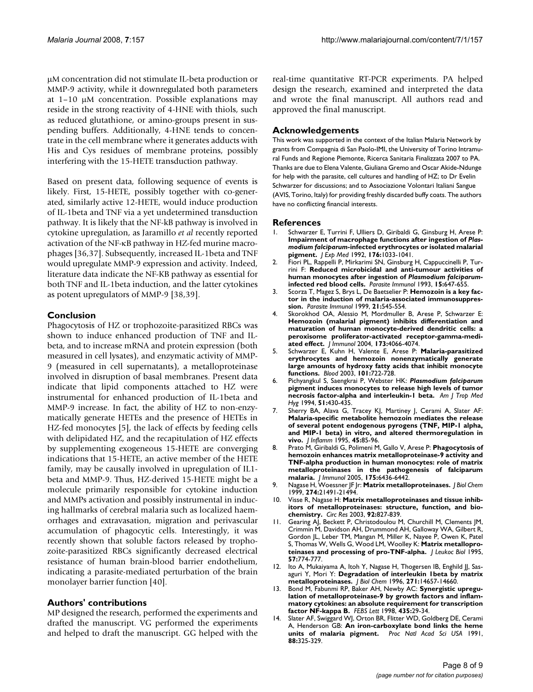µM concentration did not stimulate IL-beta production or MMP-9 activity, while it downregulated both parameters at  $1-10$  µM concentration. Possible explanations may reside in the strong reactivity of 4-HNE with thiols, such as reduced glutathione, or amino-groups present in suspending buffers. Additionally, 4-HNE tends to concentrate in the cell membrane where it generates adducts with His and Cys residues of membrane proteins, possibly interfering with the 15-HETE transduction pathway.

Based on present data, following sequence of events is likely. First, 15-HETE, possibly together with co-generated, similarly active 12-HETE, would induce production of IL-1beta and TNF via a yet undetermined transduction pathway. It is likely that the NF-kB pathway is involved in cytokine upregulation, as Jaramillo *et al* recently reported activation of the NF-KB pathway in HZ-fed murine macrophages [36,37]. Subsequently, increased IL-1beta and TNF would upregulate MMP-9 expression and activity. Indeed, literature data indicate the NF-KB pathway as essential for both TNF and IL-1beta induction, and the latter cytokines as potent upregulators of MMP-9 [38,39].

#### **Conclusion**

Phagocytosis of HZ or trophozoite-parasitized RBCs was shown to induce enhanced production of TNF and ILbeta, and to increase mRNA and protein expression (both measured in cell lysates), and enzymatic activity of MMP-9 (measured in cell supernatants), a metalloproteinase involved in disruption of basal membranes. Present data indicate that lipid components attached to HZ were instrumental for enhanced production of IL-1beta and MMP-9 increase. In fact, the ability of HZ to non-enzymatically generate HETEs and the presence of HETEs in HZ-fed monocytes [5], the lack of effects by feeding cells with delipidated HZ, and the recapitulation of HZ effects by supplementing exogeneous 15-HETE are converging indications that 15-HETE, an active member of the HETE family, may be causally involved in upregulation of IL1 beta and MMP-9. Thus, HZ-derived 15-HETE might be a molecule primarily responsible for cytokine induction and MMPs activation and possibly instrumental in inducing hallmarks of cerebral malaria such as localized haemorrhages and extravasation, migration and perivascular accumulation of phagocytic cells. Interestingly, it was recently shown that soluble factors released by trophozoite-parasitized RBCs significantly decreased electrical resistance of human brain-blood barrier endothelium, indicating a parasite-mediated perturbation of the brain monolayer barrier function [40].

#### **Authors' contributions**

MP designed the research, performed the experiments and drafted the manuscript. VG performed the experiments and helped to draft the manuscript. GG helped with the real-time quantitative RT-PCR experiments. PA helped design the research, examined and interpreted the data and wrote the final manuscript. All authors read and approved the final manuscript.

#### **Acknowledgements**

This work was supported in the context of the Italian Malaria Network by grants from Compagnia di San Paolo-IMI, the University of Torino Intramural Funds and Regione Piemonte, Ricerca Sanitaria Finalizzata 2007 to PA. Thanks are due to Elena Valente, Giuliana Gremo and Oscar Akide-Ndunge for help with the parasite, cell cultures and handling of HZ; to Dr Evelin Schwarzer for discussions; and to Associazione Volontari Italiani Sangue (AVIS, Torino, Italy) for providing freshly discarded buffy coats. The authors have no conflicting financial interests.

#### **References**

- 1. Schwarzer E, Turrini F, Ulliers D, Giribaldi G, Ginsburg H, Arese P: **Impairment of macrophage functions after ingestion of** *Plasmodium falciparum***-infected erythrocytes or isolated malarial pigment.** *J Exp Med* 1992, **176:**1033-1041.
- 2. Fiori PL, Rappelli P, Mirkarimi SN, Ginsburg H, Cappuccinelli P, Turrini F: **Reduced microbicidal and anti-tumour activities of human monocytes after ingestion of** *Plasmodium falciparum***infected red blood cells.** *Parasite Immunol* 1993, **15:**647-655.
- 3. Scorza T, Magez S, Brys L, De Baetselier P: **Hemozoin is a key factor in the induction of malaria-associated immunosuppression.** *Parasite Immunol* 1999, **21:**545-554.
- 4. Skorokhod OA, Alessio M, Mordmuller B, Arese P, Schwarzer E: **Hemozoin (malarial pigment) inhibits differentiation and maturation of human monocyte-derived dendritic cells: a peroxisome proliferator-activated receptor-gamma-mediated effect.** *J Immunol* 2004, **173:**4066-4074.
- 5. Schwarzer E, Kuhn H, Valente E, Arese P: **Malaria-parasitized erythrocytes and hemozoin nonenzymatically generate large amounts of hydroxy fatty acids that inhibit monocyte functions.** *Blood* 2003, **101:**722-728.
- 6. Pichyangkul S, Saengkrai P, Webster HK: *Plasmodium falciparum* **pigment induces monocytes to release high levels of tumor necrosis factor-alpha and interleukin-1 beta.** *Am J Trop Med Hyg* 1994, **51:**430-435.
- 7. Sherry BA, Alava G, Tracey KJ, Martiney J, Cerami A, Slater AF: **Malaria-specific metabolite hemozoin mediates the release of several potent endogenous pyrogens (TNF, MIP-1 alpha, and MIP-1 beta) in vitro, and altered thermoregulation in vivo.** *J Inflamm* 1995, **45:**85-96.
- 8. Prato M, Giribaldi G, Polimeni M, Gallo V, Arese P: **Phagocytosis of hemozoin enhances matrix metalloproteinase-9 activity and TNF-alpha production in human monocytes: role of matrix metalloproteinases in the pathogenesis of falciparum malaria.** *J Immunol* 2005, **175:**6436-6442.
- 9. Nagase H, Woessner JF Jr: **Matrix metalloproteinases.** *J Biol Chem* 1999, **274:**21491-21494.
- 10. Visse R, Nagase H: **Matrix metalloproteinases and tissue inhibitors of metalloproteinases: structure, function, and biochemistry.** *Circ Res* 2003, **92:**827-839.
- 11. Gearing AJ, Beckett P, Christodoulou M, Churchill M, Clements JM, Crimmin M, Davidson AH, Drummond AH, Galloway WA, Gilbert R, Gordon JL, Leber TM, Mangan M, Miller K, Nayee P, Owen K, Patel S, Thomas W, Wells G, Wood LM, Woolley K: **Matrix metalloproteinases and processing of pro-TNF-alpha.** *J Leukoc Biol* 1995, **57:**774-777.
- 12. Ito A, Mukaiyama A, Itoh Y, Nagase H, Thogersen IB, Enghild JJ, Sasaguri Y, Mori Y: **Degradation of interleukin 1beta by matrix metalloproteinases.** *J Biol Chem* 1996, **271:**14657-14660.
- 13. Bond M, Fabunmi RP, Baker AH, Newby AC: **Synergistic upregulation of metalloproteinase-9 by growth factors and inflammatory cytokines: an absolute requirement for transcription factor NF-kappa B.** *FEBS Lett* 1998, **435:**29-34.
- 14. Slater AF, Swiggard WJ, Orton BR, Flitter WD, Goldberg DE, Cerami A, Henderson GB: **An iron-carboxylate bond links the heme units of malaria pigment.** *Proc Natl Acad Sci USA* 1991, **88:**325-329.